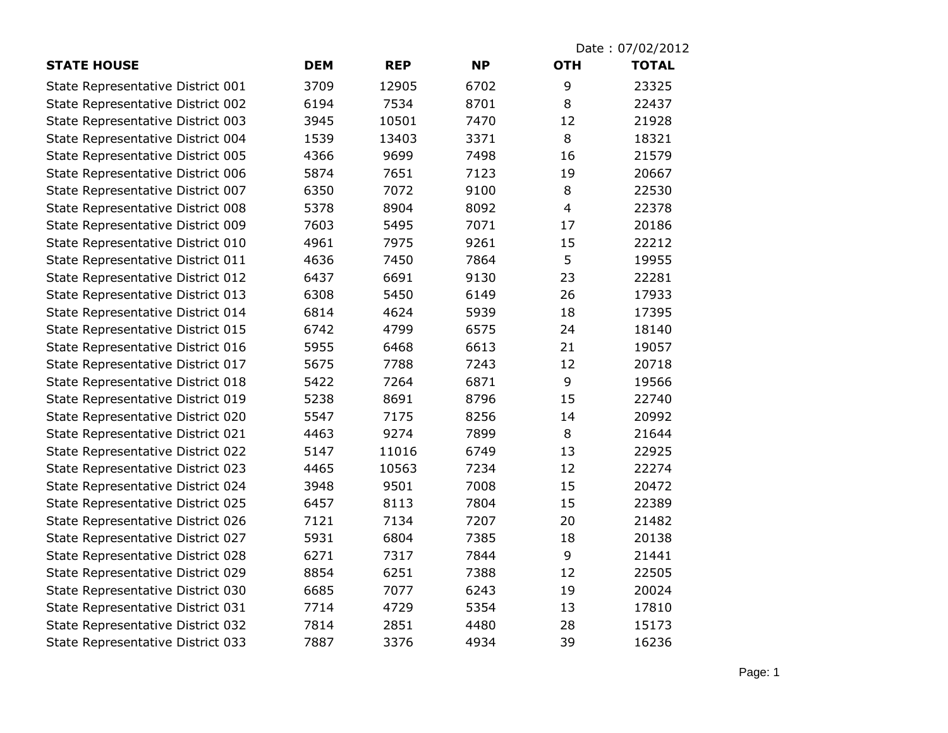|                                   |            |            |           | Date: 07/02/2012 |              |
|-----------------------------------|------------|------------|-----------|------------------|--------------|
| <b>STATE HOUSE</b>                | <b>DEM</b> | <b>REP</b> | <b>NP</b> | <b>OTH</b>       | <b>TOTAL</b> |
| State Representative District 001 | 3709       | 12905      | 6702      | 9                | 23325        |
| State Representative District 002 | 6194       | 7534       | 8701      | 8                | 22437        |
| State Representative District 003 | 3945       | 10501      | 7470      | 12               | 21928        |
| State Representative District 004 | 1539       | 13403      | 3371      | 8                | 18321        |
| State Representative District 005 | 4366       | 9699       | 7498      | 16               | 21579        |
| State Representative District 006 | 5874       | 7651       | 7123      | 19               | 20667        |
| State Representative District 007 | 6350       | 7072       | 9100      | 8                | 22530        |
| State Representative District 008 | 5378       | 8904       | 8092      | $\overline{4}$   | 22378        |
| State Representative District 009 | 7603       | 5495       | 7071      | 17               | 20186        |
| State Representative District 010 | 4961       | 7975       | 9261      | 15               | 22212        |
| State Representative District 011 | 4636       | 7450       | 7864      | 5                | 19955        |
| State Representative District 012 | 6437       | 6691       | 9130      | 23               | 22281        |
| State Representative District 013 | 6308       | 5450       | 6149      | 26               | 17933        |
| State Representative District 014 | 6814       | 4624       | 5939      | 18               | 17395        |
| State Representative District 015 | 6742       | 4799       | 6575      | 24               | 18140        |
| State Representative District 016 | 5955       | 6468       | 6613      | 21               | 19057        |
| State Representative District 017 | 5675       | 7788       | 7243      | 12               | 20718        |
| State Representative District 018 | 5422       | 7264       | 6871      | 9                | 19566        |
| State Representative District 019 | 5238       | 8691       | 8796      | 15               | 22740        |
| State Representative District 020 | 5547       | 7175       | 8256      | 14               | 20992        |
| State Representative District 021 | 4463       | 9274       | 7899      | 8                | 21644        |
| State Representative District 022 | 5147       | 11016      | 6749      | 13               | 22925        |
| State Representative District 023 | 4465       | 10563      | 7234      | 12               | 22274        |
| State Representative District 024 | 3948       | 9501       | 7008      | 15               | 20472        |
| State Representative District 025 | 6457       | 8113       | 7804      | 15               | 22389        |
| State Representative District 026 | 7121       | 7134       | 7207      | 20               | 21482        |
| State Representative District 027 | 5931       | 6804       | 7385      | 18               | 20138        |
| State Representative District 028 | 6271       | 7317       | 7844      | 9                | 21441        |
| State Representative District 029 | 8854       | 6251       | 7388      | 12               | 22505        |
| State Representative District 030 | 6685       | 7077       | 6243      | 19               | 20024        |
| State Representative District 031 | 7714       | 4729       | 5354      | 13               | 17810        |
| State Representative District 032 | 7814       | 2851       | 4480      | 28               | 15173        |
| State Representative District 033 | 7887       | 3376       | 4934      | 39               | 16236        |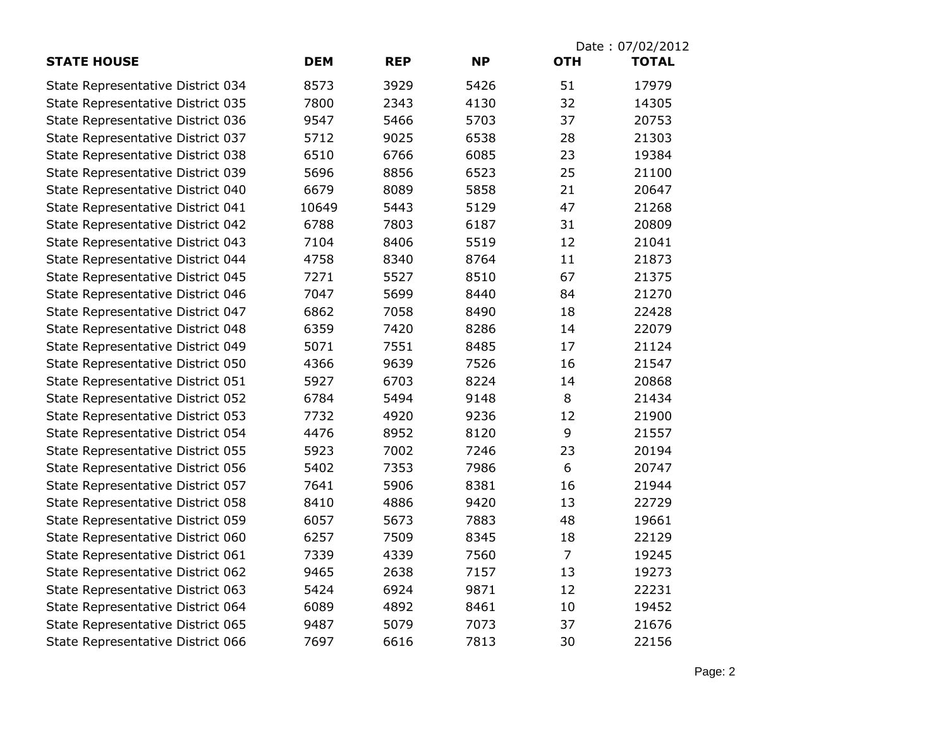| <b>STATE HOUSE</b>                | <b>DEM</b> | <b>REP</b> | <b>NP</b> | Date: 07/02/2012<br><b>TOTAL</b><br><b>OTH</b> |       |
|-----------------------------------|------------|------------|-----------|------------------------------------------------|-------|
|                                   |            |            |           |                                                |       |
| State Representative District 034 | 8573       | 3929       | 5426      | 51                                             | 17979 |
| State Representative District 035 | 7800       | 2343       | 4130      | 32                                             | 14305 |
| State Representative District 036 | 9547       | 5466       | 5703      | 37                                             | 20753 |
| State Representative District 037 | 5712       | 9025       | 6538      | 28                                             | 21303 |
| State Representative District 038 | 6510       | 6766       | 6085      | 23                                             | 19384 |
| State Representative District 039 | 5696       | 8856       | 6523      | 25                                             | 21100 |
| State Representative District 040 | 6679       | 8089       | 5858      | 21                                             | 20647 |
| State Representative District 041 | 10649      | 5443       | 5129      | 47                                             | 21268 |
| State Representative District 042 | 6788       | 7803       | 6187      | 31                                             | 20809 |
| State Representative District 043 | 7104       | 8406       | 5519      | 12                                             | 21041 |
| State Representative District 044 | 4758       | 8340       | 8764      | 11                                             | 21873 |
| State Representative District 045 | 7271       | 5527       | 8510      | 67                                             | 21375 |
| State Representative District 046 | 7047       | 5699       | 8440      | 84                                             | 21270 |
| State Representative District 047 | 6862       | 7058       | 8490      | 18                                             | 22428 |
| State Representative District 048 | 6359       | 7420       | 8286      | 14                                             | 22079 |
| State Representative District 049 | 5071       | 7551       | 8485      | 17                                             | 21124 |
| State Representative District 050 | 4366       | 9639       | 7526      | 16                                             | 21547 |
| State Representative District 051 | 5927       | 6703       | 8224      | 14                                             | 20868 |
| State Representative District 052 | 6784       | 5494       | 9148      | 8                                              | 21434 |
| State Representative District 053 | 7732       | 4920       | 9236      | 12                                             | 21900 |
| State Representative District 054 | 4476       | 8952       | 8120      | 9                                              | 21557 |
| State Representative District 055 | 5923       | 7002       | 7246      | 23                                             | 20194 |
| State Representative District 056 | 5402       | 7353       | 7986      | 6                                              | 20747 |
| State Representative District 057 | 7641       | 5906       | 8381      | 16                                             | 21944 |
| State Representative District 058 | 8410       | 4886       | 9420      | 13                                             | 22729 |
| State Representative District 059 | 6057       | 5673       | 7883      | 48                                             | 19661 |
| State Representative District 060 | 6257       | 7509       | 8345      | 18                                             | 22129 |
| State Representative District 061 | 7339       | 4339       | 7560      | $\overline{7}$                                 | 19245 |
| State Representative District 062 | 9465       | 2638       | 7157      | 13                                             | 19273 |
| State Representative District 063 | 5424       | 6924       | 9871      | 12                                             | 22231 |
| State Representative District 064 | 6089       | 4892       | 8461      | 10                                             | 19452 |
| State Representative District 065 | 9487       | 5079       | 7073      | 37                                             | 21676 |
| State Representative District 066 | 7697       | 6616       | 7813      | 30                                             | 22156 |